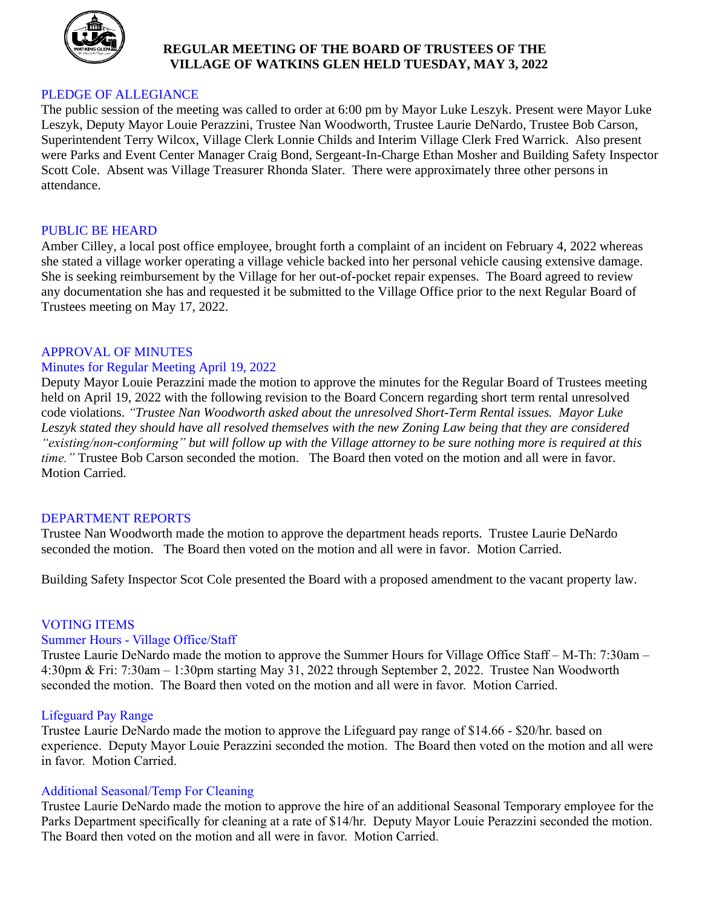

# **REGULAR MEETING OF THE BOARD OF TRUSTEES OF THE VILLAGE OF WATKINS GLEN HELD TUESDAY, MAY 3, 2022**

## PLEDGE OF ALLEGIANCE

The public session of the meeting was called to order at 6:00 pm by Mayor Luke Leszyk. Present were Mayor Luke Leszyk, Deputy Mayor Louie Perazzini, Trustee Nan Woodworth, Trustee Laurie DeNardo, Trustee Bob Carson, Superintendent Terry Wilcox, Village Clerk Lonnie Childs and Interim Village Clerk Fred Warrick. Also present were Parks and Event Center Manager Craig Bond, Sergeant-In-Charge Ethan Mosher and Building Safety Inspector Scott Cole. Absent was Village Treasurer Rhonda Slater. There were approximately three other persons in attendance.

### PUBLIC BE HEARD

Amber Cilley, a local post office employee, brought forth a complaint of an incident on February 4, 2022 whereas she stated a village worker operating a village vehicle backed into her personal vehicle causing extensive damage. She is seeking reimbursement by the Village for her out-of-pocket repair expenses. The Board agreed to review any documentation she has and requested it be submitted to the Village Office prior to the next Regular Board of Trustees meeting on May 17, 2022.

### APPROVAL OF MINUTES

#### Minutes for Regular Meeting April 19, 2022

Deputy Mayor Louie Perazzini made the motion to approve the minutes for the Regular Board of Trustees meeting held on April 19, 2022 with the following revision to the Board Concern regarding short term rental unresolved code violations. *"Trustee Nan Woodworth asked about the unresolved Short-Term Rental issues. Mayor Luke* Leszyk stated they should have all resolved themselves with the new Zoning Law being that they are considered "existing/non-conforming" but will follow up with the Village attorney to be sure nothing more is required at this *time.*" Trustee Bob Carson seconded the motion. The Board then voted on the motion and all were in favor. Motion Carried.

#### DEPARTMENT REPORTS

Trustee Nan Woodworth made the motion to approve the department heads reports. Trustee Laurie DeNardo seconded the motion. The Board then voted on the motion and all were in favor. Motion Carried.

Building Safety Inspector Scot Cole presented the Board with a proposed amendment to the vacant property law.

### VOTING ITEMS

### Summer Hours - Village Office/Staff

Trustee Laurie DeNardo made the motion to approve the Summer Hours for Village Office Staff – M-Th: 7:30am – 4:30pm & Fri: 7:30am – 1:30pm starting May 31, 2022 through September 2, 2022. Trustee Nan Woodworth seconded the motion. The Board then voted on the motion and all were in favor. Motion Carried.

#### Lifeguard Pay Range

Trustee Laurie DeNardo made the motion to approve the Lifeguard pay range of \$14.66 - \$20/hr. based on experience. Deputy Mayor Louie Perazzini seconded the motion. The Board then voted on the motion and all were in favor. Motion Carried.

### Additional Seasonal/Temp For Cleaning

Trustee Laurie DeNardo made the motion to approve the hire of an additional Seasonal Temporary employee for the Parks Department specifically for cleaning at a rate of \$14/hr. Deputy Mayor Louie Perazzini seconded the motion. The Board then voted on the motion and all were in favor. Motion Carried.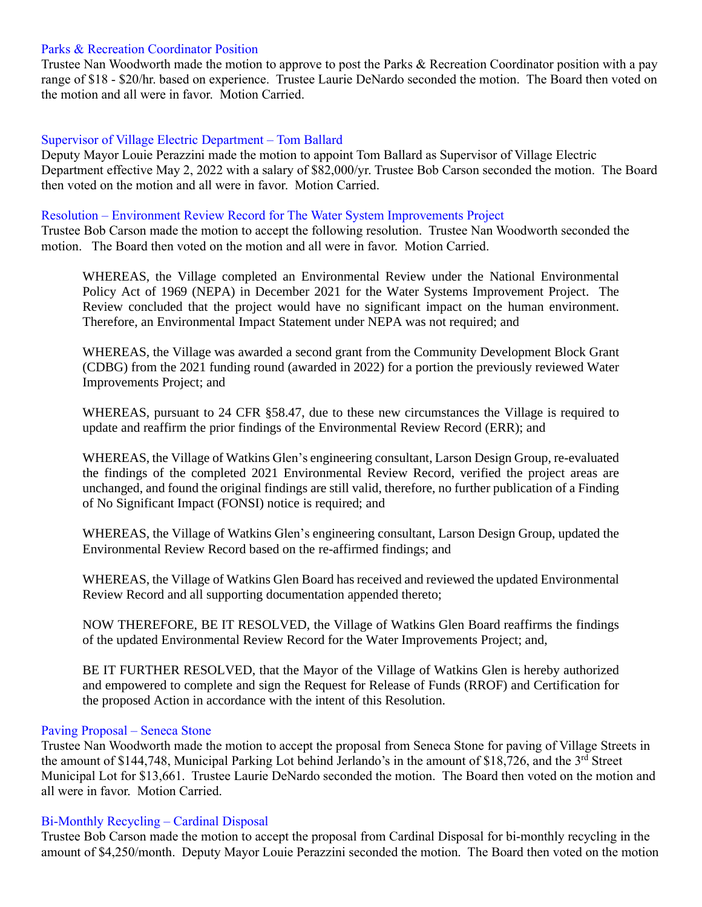### Parks & Recreation Coordinator Position

Trustee Nan Woodworth made the motion to approve to post the Parks & Recreation Coordinator position with a pay range of \$18 - \$20/hr. based on experience. Trustee Laurie DeNardo seconded the motion. The Board then voted on the motion and all were in favor. Motion Carried.

# Supervisor of Village Electric Department – Tom Ballard

Deputy Mayor Louie Perazzini made the motion to appoint Tom Ballard as Supervisor of Village Electric Department effective May 2, 2022 with a salary of \$82,000/yr. Trustee Bob Carson seconded the motion. The Board then voted on the motion and all were in favor. Motion Carried.

## Resolution – Environment Review Record for The Water System Improvements Project

Trustee Bob Carson made the motion to accept the following resolution. Trustee Nan Woodworth seconded the motion. The Board then voted on the motion and all were in favor. Motion Carried.

WHEREAS, the Village completed an Environmental Review under the National Environmental Policy Act of 1969 (NEPA) in December 2021 for the Water Systems Improvement Project. The Review concluded that the project would have no significant impact on the human environment. Therefore, an Environmental Impact Statement under NEPA was not required; and

WHEREAS, the Village was awarded a second grant from the Community Development Block Grant (CDBG) from the 2021 funding round (awarded in 2022) for a portion the previously reviewed Water Improvements Project; and

WHEREAS, pursuant to 24 CFR §58.47, due to these new circumstances the Village is required to update and reaffirm the prior findings of the Environmental Review Record (ERR); and

WHEREAS, the Village of Watkins Glen's engineering consultant, Larson Design Group, re-evaluated the findings of the completed 2021 Environmental Review Record, verified the project areas are unchanged, and found the original findings are still valid, therefore, no further publication of a Finding of No Significant Impact (FONSI) notice is required; and

WHEREAS, the Village of Watkins Glen's engineering consultant, Larson Design Group, updated the Environmental Review Record based on the re-affirmed findings; and

WHEREAS, the Village of Watkins Glen Board has received and reviewed the updated Environmental Review Record and all supporting documentation appended thereto;

NOW THEREFORE, BE IT RESOLVED, the Village of Watkins Glen Board reaffirms the findings of the updated Environmental Review Record for the Water Improvements Project; and,

BE IT FURTHER RESOLVED, that the Mayor of the Village of Watkins Glen is hereby authorized and empowered to complete and sign the Request for Release of Funds (RROF) and Certification for the proposed Action in accordance with the intent of this Resolution.

# Paving Proposal – Seneca Stone

Trustee Nan Woodworth made the motion to accept the proposal from Seneca Stone for paving of Village Streets in the amount of \$144,748, Municipal Parking Lot behind Jerlando's in the amount of \$18,726, and the 3<sup>rd</sup> Street Municipal Lot for \$13,661. Trustee Laurie DeNardo seconded the motion. The Board then voted on the motion and all were in favor. Motion Carried.

# Bi-Monthly Recycling – Cardinal Disposal

Trustee Bob Carson made the motion to accept the proposal from Cardinal Disposal for bi-monthly recycling in the amount of \$4,250/month. Deputy Mayor Louie Perazzini seconded the motion. The Board then voted on the motion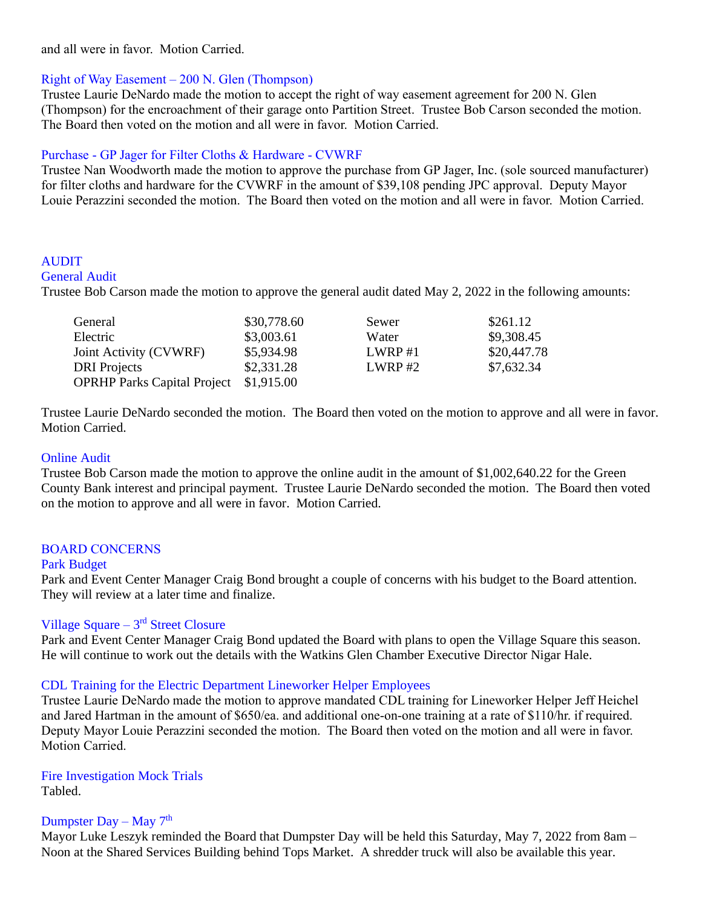## and all were in favor. Motion Carried.

## Right of Way Easement – 200 N. Glen (Thompson)

Trustee Laurie DeNardo made the motion to accept the right of way easement agreement for 200 N. Glen (Thompson) for the encroachment of their garage onto Partition Street. Trustee Bob Carson seconded the motion. The Board then voted on the motion and all were in favor. Motion Carried.

## Purchase - GP Jager for Filter Cloths & Hardware - CVWRF

Trustee Nan Woodworth made the motion to approve the purchase from GP Jager, Inc. (sole sourced manufacturer) for filter cloths and hardware for the CVWRF in the amount of \$39,108 pending JPC approval. Deputy Mayor Louie Perazzini seconded the motion. The Board then voted on the motion and all were in favor. Motion Carried.

### AUDIT

#### General Audit

Trustee Bob Carson made the motion to approve the general audit dated May 2, 2022 in the following amounts:

| General                            | \$30,778.60 | Sewer     | \$261.12    |
|------------------------------------|-------------|-----------|-------------|
| Electric                           | \$3,003.61  | Water     | \$9,308.45  |
| Joint Activity (CVWRF)             | \$5,934.98  | $LWRP$ #1 | \$20,447.78 |
| <b>DRI</b> Projects                | \$2,331.28  | LWRP#2    | \$7,632.34  |
| <b>OPRHP Parks Capital Project</b> | \$1,915.00  |           |             |

Trustee Laurie DeNardo seconded the motion. The Board then voted on the motion to approve and all were in favor. Motion Carried.

### Online Audit

Trustee Bob Carson made the motion to approve the online audit in the amount of \$1,002,640.22 for the Green County Bank interest and principal payment. Trustee Laurie DeNardo seconded the motion. The Board then voted on the motion to approve and all were in favor. Motion Carried.

### BOARD CONCERNS

#### Park Budget

Park and Event Center Manager Craig Bond brought a couple of concerns with his budget to the Board attention. They will review at a later time and finalize.

# Village Square  $-3<sup>rd</sup>$  Street Closure

Park and Event Center Manager Craig Bond updated the Board with plans to open the Village Square this season. He will continue to work out the details with the Watkins Glen Chamber Executive Director Nigar Hale.

### CDL Training for the Electric Department Lineworker Helper Employees

Trustee Laurie DeNardo made the motion to approve mandated CDL training for Lineworker Helper Jeff Heichel and Jared Hartman in the amount of \$650/ea. and additional one-on-one training at a rate of \$110/hr. if required. Deputy Mayor Louie Perazzini seconded the motion. The Board then voted on the motion and all were in favor. Motion Carried.

Fire Investigation Mock Trials Tabled.

# Dumpster Day – May 7<sup>th</sup>

Mayor Luke Leszyk reminded the Board that Dumpster Day will be held this Saturday, May 7, 2022 from 8am – Noon at the Shared Services Building behind Tops Market. A shredder truck will also be available this year.